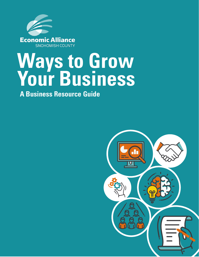

# **Ways to Grow Your Business**

**A Business Resource Guide**

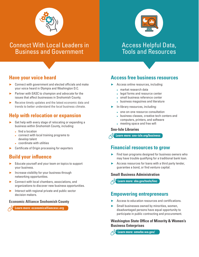

# Connect With Local Leaders in Business and Government

# Access Helpful Data, Tools and Resources

# **Have your voice heard**

- ► Connect with government and elected officials and make your voice heard in Olympia and Washington D.C.
- ► Partner with EASC to champion and advocate for the issues that affect businesses in Snohomish County.
- ► Receive timely updates and the latest economic data and trends to better understand the local business climate.

# **Help with relocation or expansion**

- ► Get help with every stage of relocating or expanding a business within Snohomish County, including:
	- $\blacktriangleright$  find a location
	- ► connect with local training programs to develop talent
	- ► coordinate with utilities
- Certificate of Origin processing for exporters

# **Build your influence**

- ► Educate yourself and your team on topics to support your business.
- ► Increase visibility for your business through networking opportunities.
- ► Connect with local chambers, associations, and organizations to discover new business opportunities.
- $\blacktriangleright$  Interact with regional private and public sector decision makers.

#### **Economic Alliance Snohomish County**

**Learn more: economicalliancesc.org**

# **Access free business resources**

- ► Access online resources, including:
	- ► market research data
	- ► legal forms and resource center
	- ► small business reference center
	- ► business magazines and literature
- ► In-library resources, including:
	- ► one-on-one resource consultation
	- ► business classes, creative tech centers and computers, printers, and software
	- ► meeting space and free wifi

#### **Sno-Isle Libraries**

**Learn more: sno-isle.org/business**

## **Financial resources to grow**

- Find loan programs designed for business owners who may have trouble qualifying for a traditional bank loan.
- Access resources for loans with a third party lender, guarantee a bond, or find venture capital.

#### **Small Business Administration**

**Learn more: sba.gov/tools/linc**

# **Empowering entrepreneurs**

- Access to education resources and certifications.
- Small businesses owned by minorities, women, disadvantaged persons have equal opportunity to participate in public contracting and procurement.

#### **Washington State Office of Minority & Women's Business Enterprises**

**Learn more: omwbe.wa.gov/**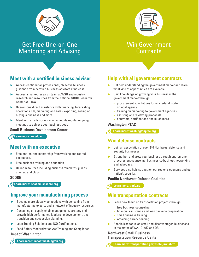

Get Free One-on-One Mentoring and Advising



# Win Government **Contracts**

# **Meet with a certified business advisor**

- ► Access confidential, professional, objective business guidance from certified business advisors at no cost.
- Access a market research team at WSU and industry research and resources from the National SBDC Research Center at UTSA.
- ► One-on-one direct assistance with financing, forecasting, operations, HR, marketing and sales, exporting, selling or buying a business and more.
- Meet with an advisor once, or schedule regular ongoing meetings to achieve your business goal.

#### **Small Business Development Center**

**Learn more: wsbdc.org**

## **Meet with an executive**

- Free one-on-one mentorship from working and retired executives.
- Free business training and education.
- Online resources including business templates, guides, quizzes, and blogs.

#### **SCORE**

**Learn more: snohomishscore.org**

## **Improve your manufacturing process**

- Become more globally competitive with consulting from manufacturing experts and a network of industry resources.
- ► Consulting on supply chain management, strategy and growth, high performance leadership development, and transition and succession planning.
- Lean Training Solutions and ISO Certifications.
- Food Safety Modernization Act Training and Compliance.

#### **Impact Washington**

**Learn more: impactwashington.org**

# **Help with all government contracts**

- Get help understanding the government market and learn what kind of opportunities are available.
- ► Gain knowledge on growing your business in the government market through:
	- ► procurement solicitations for any federal, state or local agency
	- ► training on marketing to government agencies
	- ► assisting and reviewing proposals
	- ► contracts, certifications and much more

#### **Washington PTAC**

**Learn more: washingtonptac.org**

## **Win defense contracts**

- ► Join an association of over 240 Northwest defense and security businesses.
- Strengthen and grow your business through one-on-one procurement counseling, business-to-business networking and advocacy.
- ▶ Services also help strengthen our region's economy and our nation's security.

#### **Pacific Northwest Defense Coalition**

**Learn more: pndc.us**

## **Win transportation contracts**

- Learn how to bid on transportation projects through:
	- ► free business counseling
	- $\blacktriangleright$  financial assistance and loan package preparation
	- ► small business training
	- ► obtaining surety bonding
- ► Specialized focus on small and disadvantaged businesses in the states of WA, ID, AK, and OR.

#### **Northwest Small Business Transportation Resource Center**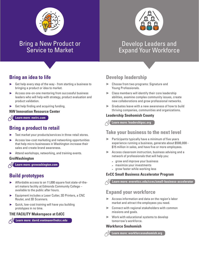

# Bring a New Product or Service to Market

# Develop Leaders and Expand Your Workforce

# **Bring an idea to life**

- ► Get help every step of the way from starting a business to bringing a product or idea to market.
- ► Access one-on-one mentoring from successful business leaders who will help with strategy, product evaluation and product validation.
- Get help finding and acquiring funding.

#### **NW Innovation Resource Center**

**Learn more: nwirc.com**

# **Bring a product to retail**

- Test market your products/services in three retail stores.
- ► Access low-cost marketing and networking opportunities that help micro businesses in Washington increase their sales and create brand awareness.
- ► Attend workshops, networking, and training events.

#### **GroWashington**

**Learn more: growashington.com**

# **Build prototypes**

- ► Affordable access to an 11,000 square foot state-of-theart makers facility at Edmonds Community College – available to the public after hours.
- Equipment includes a Laser Cutter, 3D Printers, a CNC Router, and 3D Scanners.
- ► Quick, low-cost training will have you building prototypes in no time.

#### **THE FACILITY Makerspace at EdCC**

**Learn more: david.voetmann@edcc.edu**

# **Develop leadership**

- ► Choose from two programs: Signature and Young Professionals.
- $\blacktriangleright$  Class members will identify their core leadership abilities, examine complex community issues, create new collaborations and grow professional networks.
- ► Graduates leave with a new awareness of how to build thriving companies, communities and organizations.

#### **Leadership Snohomish County**

**Learn more: leadershipsc.org**

# **Take your business to the next level**

- ► Participants typically have a minimum of five years experience running a business, generate about \$500,000 - \$15 million in sales, and have five or more employees.
- ► Access classroom instruction, business advising and a network of professionals that will help you:
	- ► grow and improve your business
	- ► maximize your investments
	- ► grow faster while working less

#### **EvCC Small Business Accelerator Program**

**Learn more: everettcc.edu/ccec/small-business-accelerator**

## **Expand your workforce**

- ► Access information and data on the region's labor market and attract the employees you need.
- ► Connect with regional stakeholders with common missions and goals.
- ► Work with educational systems to develop tomorrow's workforce.

#### **Workforce Snohomish**

**Learn more: workforcesnohomish.org**